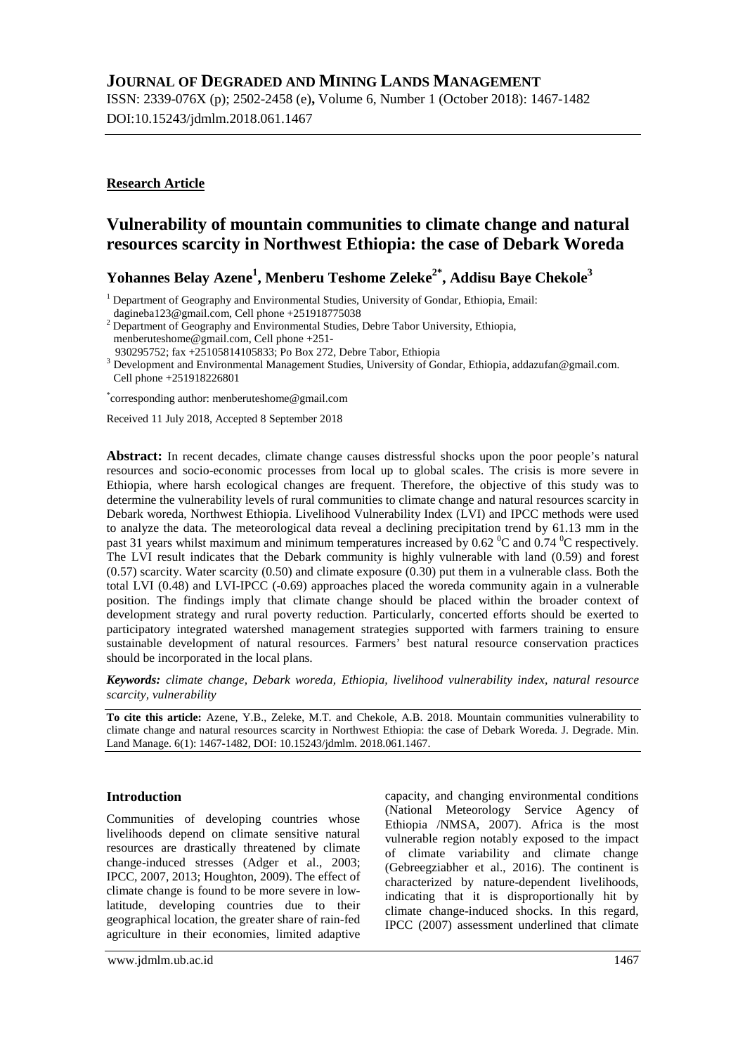# **JOURNAL OF DEGRADED AND MINING LANDS MANAGEMENT**

ISSN: 2339-076X (p); 2502-2458 (e)**,** Volume 6, Number 1 (October 2018): 1467-1482 DOI:10.15243/jdmlm.2018.061.1467

# **Research Article**

# **Vulnerability of mountain communities to climate change and natural resources scarcity in Northwest Ethiopia: the case of Debark Woreda**

**Yohannes Belay Azene<sup>1</sup> , Menberu Teshome Zeleke2\* , Addisu Baye Chekole<sup>3</sup>**

<sup>1</sup> Department of Geography and Environmental Studies, University of Gondar, Ethiopia, Email:

<sup>2</sup> Department of Geography and Environmental Studies, Debre Tabor University, Ethiopia, menberuteshome@gmail.com, Cell phone +251-

930295752; fax +25105814105833; Po Box 272, Debre Tabor, Ethiopia

<sup>3</sup> Development and Environmental Management Studies, University of Gondar, Ethiopia, addazufan@gmail.com. Cell phone +251918226801

\* corresponding author: menberuteshome@gmail.com

Received 11 July 2018, Accepted 8 September 2018

**Abstract:** In recent decades, climate change causes distressful shocks upon the poor people's natural resources and socio-economic processes from local up to global scales. The crisis is more severe in Ethiopia, where harsh ecological changes are frequent. Therefore, the objective of this study was to determine the vulnerability levels of rural communities to climate change and natural resources scarcity in Debark woreda, Northwest Ethiopia. Livelihood Vulnerability Index (LVI) and IPCC methods were used to analyze the data. The meteorological data reveal a declining precipitation trend by 61.13 mm in the past 31 years whilst maximum and minimum temperatures increased by 0.62  $\degree$ C and 0.74  $\degree$ C respectively. The LVI result indicates that the Debark community is highly vulnerable with land (0.59) and forest (0.57) scarcity. Water scarcity (0.50) and climate exposure (0.30) put them in a vulnerable class. Both the total LVI (0.48) and LVI-IPCC (-0.69) approaches placed the woreda community again in a vulnerable position. The findings imply that climate change should be placed within the broader context of development strategy and rural poverty reduction. Particularly, concerted efforts should be exerted to participatory integrated watershed management strategies supported with farmers training to ensure sustainable development of natural resources. Farmers' best natural resource conservation practices should be incorporated in the local plans.

*Keywords: climate change, Debark woreda, Ethiopia, livelihood vulnerability index, natural resource scarcity, vulnerability*

**To cite this article:** Azene, Y.B., Zeleke, M.T. and Chekole, A.B. 2018. Mountain communities vulnerability to climate change and natural resources scarcity in Northwest Ethiopia: the case of Debark Woreda. J. Degrade. Min. Land Manage. 6(1): 1467-1482, DOI: 10.15243/jdmlm. 2018.061.1467.

### **Introduction**

Communities of developing countries whose livelihoods depend on climate sensitive natural resources are drastically threatened by climate change-induced stresses (Adger et al., 2003; IPCC, 2007, 2013; Houghton, 2009). The effect of climate change is found to be more severe in lowlatitude, developing countries due to their geographical location, the greater share of rain-fed agriculture in their economies, limited adaptive capacity, and changing environmental conditions (National Meteorology Service Agency of Ethiopia /NMSA, 2007). Africa is the most vulnerable region notably exposed to the impact of climate variability and climate change (Gebreegziabher et al., 2016). The continent is characterized by nature-dependent livelihoods, indicating that it is disproportionally hit by climate change-induced shocks. In this regard, IPCC (2007) assessment underlined that climate

[dagineba123@gmail.com](mailto:dagineba123@gmail.com), Cell phone +251918775038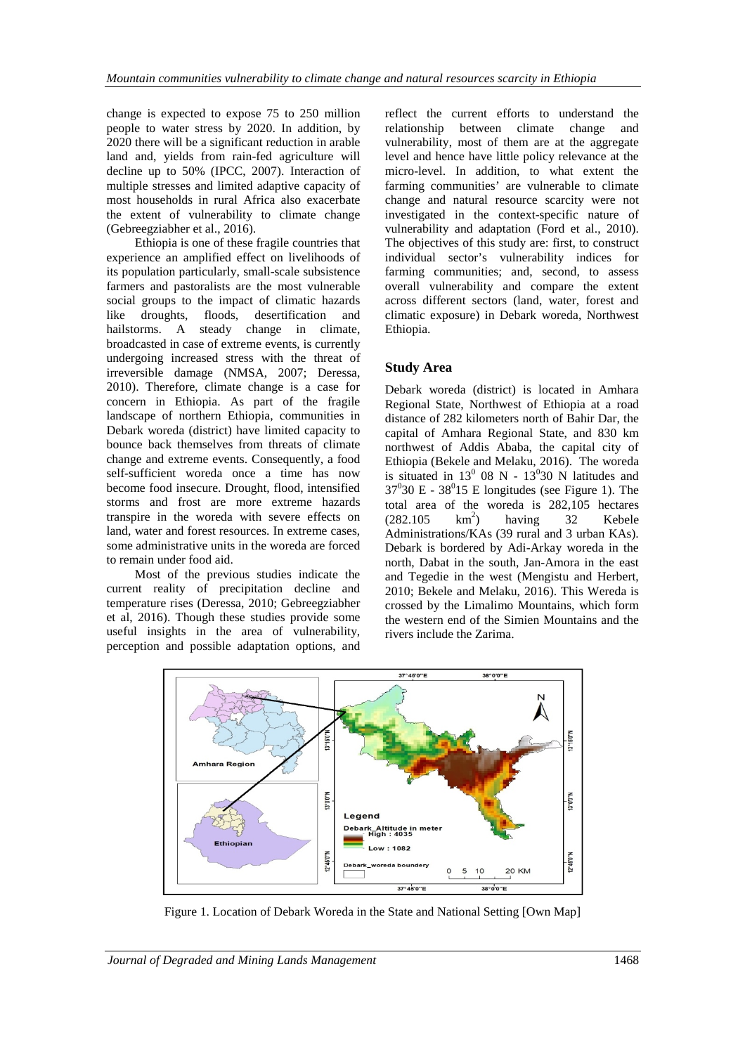change is expected to expose 75 to 250 million people to water stress by 2020. In addition, by 2020 there will be a significant reduction in arable land and, yields from rain-fed agriculture will decline up to 50% (IPCC, 2007). Interaction of multiple stresses and limited adaptive capacity of most households in rural Africa also exacerbate the extent of vulnerability to climate change (Gebreegziabher et al., 2016).

Ethiopia is one of these fragile countries that experience an amplified effect on livelihoods of its population particularly, small-scale subsistence farmers and pastoralists are the most vulnerable social groups to the impact of climatic hazards like droughts, floods, desertification and hailstorms. A steady change in climate, broadcasted in case of extreme events, is currently undergoing increased stress with the threat of irreversible damage (NMSA, 2007; Deressa, 2010). Therefore, climate change is a case for concern in Ethiopia. As part of the fragile landscape of northern Ethiopia, communities in Debark woreda (district) have limited capacity to bounce back themselves from threats of climate change and extreme events. Consequently, a food self-sufficient woreda once a time has now become food insecure. Drought, flood, intensified storms and frost are more extreme hazards transpire in the woreda with severe effects on land, water and forest resources. In extreme cases, some administrative units in the woreda are forced to remain under food aid.

Most of the previous studies indicate the current reality of precipitation decline and temperature rises (Deressa, 2010; Gebreegziabher et al, 2016). Though these studies provide some useful insights in the area of vulnerability, perception and possible adaptation options, and

reflect the current efforts to understand the relationship between climate change and vulnerability, most of them are at the aggregate level and hence have little policy relevance at the micro-level. In addition, to what extent the farming communities' are vulnerable to climate change and natural resource scarcity were not investigated in the context-specific nature of vulnerability and adaptation (Ford et al., 2010). The objectives of this study are: first, to construct individual sector's vulnerability indices for farming communities; and, second, to assess overall vulnerability and compare the extent across different sectors (land, water, forest and climatic exposure) in Debark woreda, Northwest Ethiopia.

## **Study Area**

Debark woreda (district) is located in Amhara Regional State, Northwest of Ethiopia at a road distance of 282 kilometers north of Bahir Dar, the capital of Amhara Regional State, and 830 km northwest of Addis Ababa, the capital city of Ethiopia (Bekele and Melaku, 2016). The woreda is situated in  $13^0$  08 N -  $13^0$ 30 N latitudes and  $37^030$  E -  $38^015$  E longitudes (see Figure 1). The total area of the woreda is 282,105 hectares  $(282.105 \text{ km}^2)$ having 32 Kebele Administrations/KAs (39 rural and 3 urban KAs). Debark is bordered by Adi-Arkay woreda in the north, Dabat in the south, Jan-Amora in the east and Tegedie in the west (Mengistu and Herbert, 2010; Bekele and Melaku, 2016). This Wereda is crossed by the Limalimo Mountains, which form the western end of the Simien Mountains and the rivers include the Zarima.



Figure 1. Location of Debark Woreda in the State and National Setting [Own Map]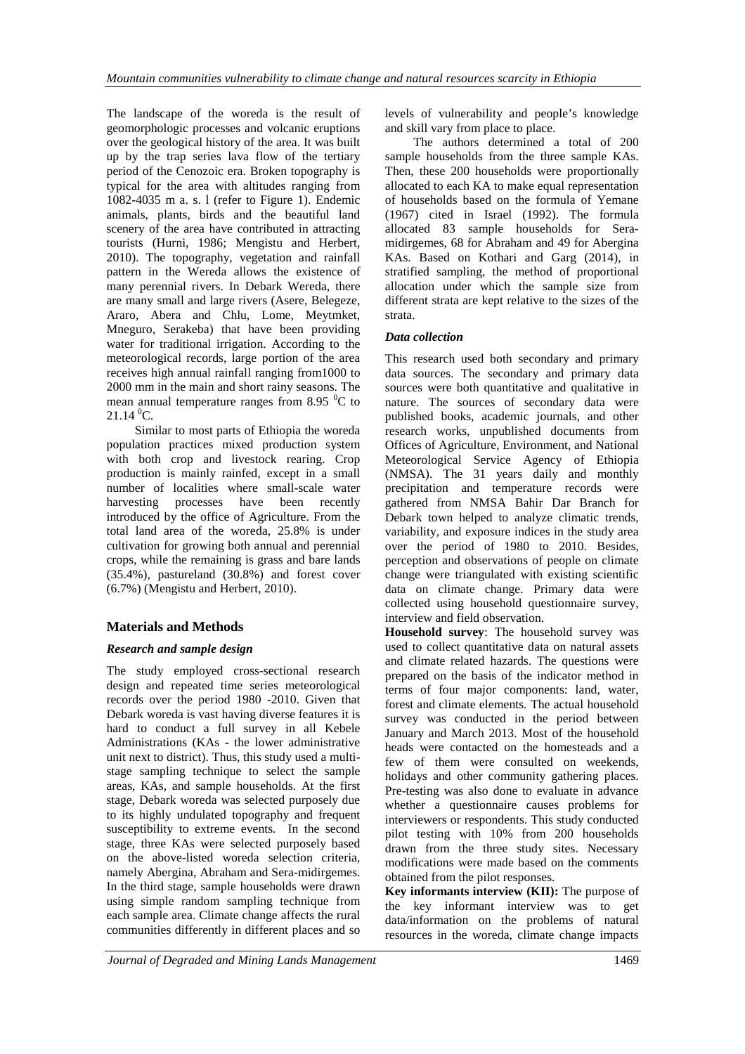The landscape of the woreda is the result of geomorphologic processes and volcanic eruptions over the geological history of the area. It was built up by the trap series lava flow of the tertiary period of the Cenozoic era. Broken topography is typical for the area with altitudes ranging from 1082-4035 m a. s. l (refer to Figure 1). Endemic animals, plants, birds and the beautiful land scenery of the area have contributed in attracting tourists (Hurni, 1986; Mengistu and Herbert, 2010). The topography, vegetation and rainfall pattern in the Wereda allows the existence of many perennial rivers. In Debark Wereda, there are many small and large rivers (Asere, Belegeze, Araro, Abera and Chlu, Lome, Meytmket, Mneguro, Serakeba) that have been providing water for traditional irrigation. According to the meteorological records, large portion of the area receives high annual rainfall ranging from1000 to 2000 mm in the main and short rainy seasons. The mean annual temperature ranges from 8.95  $\mathrm{^{0}C}$  to  $21.14\,^0C$ .

Similar to most parts of Ethiopia the woreda population practices mixed production system with both crop and livestock rearing. Crop production is mainly rainfed, except in a small number of localities where small-scale water harvesting processes have been recently introduced by the office of Agriculture. From the total land area of the woreda, 25.8% is under cultivation for growing both annual and perennial crops, while the remaining is grass and bare lands (35.4%), pastureland (30.8%) and forest cover (6.7%) (Mengistu and Herbert, 2010).

# **Materials and Methods**

### *Research and sample design*

The study employed cross-sectional research design and repeated time series meteorological records over the period 1980 -2010. Given that Debark woreda is vast having diverse features it is hard to conduct a full survey in all Kebele Administrations (KAs **-** the lower administrative unit next to district). Thus, this study used a multistage sampling technique to select the sample areas, KAs, and sample households. At the first stage, Debark woreda was selected purposely due to its highly undulated topography and frequent susceptibility to extreme events. In the second stage, three KAs were selected purposely based on the above-listed woreda selection criteria, namely Abergina, Abraham and Sera-midirgemes. In the third stage, sample households were drawn using simple random sampling technique from each sample area. Climate change affects the rural communities differently in different places and so

levels of vulnerability and people's knowledge and skill vary from place to place.

The authors determined a total of 200 sample households from the three sample KAs. Then, these 200 households were proportionally allocated to each KA to make equal representation of households based on the formula of Yemane (1967) cited in Israel (1992). The formula allocated 83 sample households for Seramidirgemes, 68 for Abraham and 49 for Abergina KAs. Based on Kothari and Garg (2014), in stratified sampling, the method of proportional allocation under which the sample size from different strata are kept relative to the sizes of the strata.

## *Data collection*

This research used both secondary and primary data sources. The secondary and primary data sources were both quantitative and qualitative in nature. The sources of secondary data were published books, academic journals, and other research works, unpublished documents from Offices of Agriculture, Environment, and National Meteorological Service Agency of Ethiopia (NMSA). The 31 years daily and monthly precipitation and temperature records were gathered from NMSA Bahir Dar Branch for Debark town helped to analyze climatic trends, variability, and exposure indices in the study area over the period of 1980 to 2010. Besides, perception and observations of people on climate change were triangulated with existing scientific data on climate change. Primary data were collected using household questionnaire survey, interview and field observation.

**Household survey**: The household survey was used to collect quantitative data on natural assets and climate related hazards. The questions were prepared on the basis of the indicator method in terms of four major components: land, water, forest and climate elements. The actual household survey was conducted in the period between January and March 2013. Most of the household heads were contacted on the homesteads and a few of them were consulted on weekends, holidays and other community gathering places. Pre-testing was also done to evaluate in advance whether a questionnaire causes problems for interviewers or respondents. This study conducted pilot testing with 10% from 200 households drawn from the three study sites. Necessary modifications were made based on the comments obtained from the pilot responses.

**Key informants interview (KII):** The purpose of the key informant interview was to get data/information on the problems of natural resources in the woreda, climate change impacts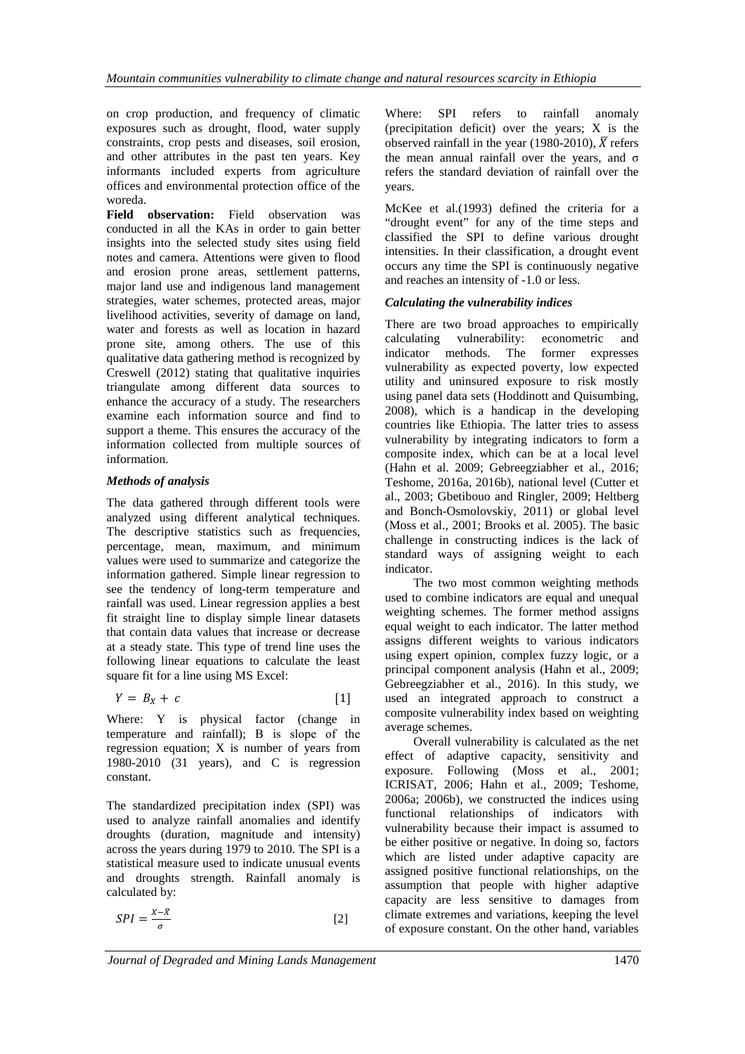on crop production, and frequency of climatic exposures such as drought, flood, water supply constraints, crop pests and diseases, soil erosion, and other attributes in the past ten years. Key informants included experts from agriculture offices and environmental protection office of the woreda.

**Field observation:** Field observation was conducted in all the KAs in order to gain better insights into the selected study sites using field notes and camera. Attentions were given to flood and erosion prone areas, settlement patterns, major land use and indigenous land management strategies, water schemes, protected areas, major livelihood activities, severity of damage on land, water and forests as well as location in hazard prone site, among others. The use of this qualitative data gathering method is recognized by Creswell (2012) stating that qualitative inquiries triangulate among different data sources to enhance the accuracy of a study. The researchers examine each information source and find to support a theme. This ensures the accuracy of the information collected from multiple sources of information.

### *Methods of analysis*

The data gathered through different tools were analyzed using different analytical techniques. The descriptive statistics such as frequencies, percentage, mean, maximum, and minimum values were used to summarize and categorize the information gathered. Simple linear regression to see the tendency of long-term temperature and rainfall was used. Linear regression applies a best fit straight line to display simple linear datasets that contain data values that increase or decrease at a steady state. This type of trend line uses the following linear equations to calculate the least square fit for a line using MS Excel:

$$
Y = B_X + c \tag{1}
$$

Where: Y is physical factor (change in temperature and rainfall); Β is slope of the regression equation; X is number of years from 1980-2010 (31 years), and C is regression constant.

The standardized precipitation index (SPI) was used to analyze rainfall anomalies and identify droughts (duration, magnitude and intensity) across the years during 1979 to 2010. The SPI is a statistical measure used to indicate unusual events and droughts strength. Rainfall anomaly is calculated by:

$$
SPI = \frac{x - \bar{x}}{\sigma} \tag{2}
$$

Where: SPI refers to rainfall anomaly (precipitation deficit) over the years; X is the observed rainfall in the year (1980-2010),  $\overline{X}$  refers the mean annual rainfall over the years, and  $\sigma$ refers the standard deviation of rainfall over the years.

McKee et al.(1993) defined the criteria for a "drought event" for any of the time steps and classified the SPI to define various drought intensities. In their classification, a drought event occurs any time the SPI is continuously negative and reaches an intensity of -1.0 or less.

### *Calculating the vulnerability indices*

There are two broad approaches to empirically<br>calculating vulnerability: econometric and vulnerability: econometric and indicator methods. The former expresses vulnerability as expected poverty, low expected utility and uninsured exposure to risk mostly using panel data sets (Hoddinott and Quisumbing, 2008), which is a handicap in the developing countries like Ethiopia. The latter tries to assess vulnerability by integrating indicators to form a composite index, which can be at a local level (Hahn et al. 2009; Gebreegziabher et al., 2016; Teshome, 2016a, 2016b), national level (Cutter et al., 2003; Gbetibouo and Ringler, 2009; Heltberg and Bonch-Osmolovskiy, 2011) or global level (Moss et al., 2001; Brooks et al. 2005). The basic challenge in constructing indices is the lack of standard ways of assigning weight to each indicator.

The two most common weighting methods used to combine indicators are equal and unequal weighting schemes. The former method assigns equal weight to each indicator. The latter method assigns different weights to various indicators using expert opinion, complex fuzzy logic, or a principal component analysis (Hahn et al., 2009; Gebreegziabher et al., 2016). In this study, we used an integrated approach to construct a composite vulnerability index based on weighting average schemes.

Overall vulnerability is calculated as the net effect of adaptive capacity, sensitivity and exposure. Following (Moss et al., 2001; ICRISAT, 2006; Hahn et al., 2009; Teshome, 2006a; 2006b), we constructed the indices using functional relationships of indicators with vulnerability because their impact is assumed to be either positive or negative. In doing so, factors which are listed under adaptive capacity are assigned positive functional relationships, on the assumption that people with higher adaptive capacity are less sensitive to damages from climate extremes and variations, keeping the level of exposure constant. On the other hand, variables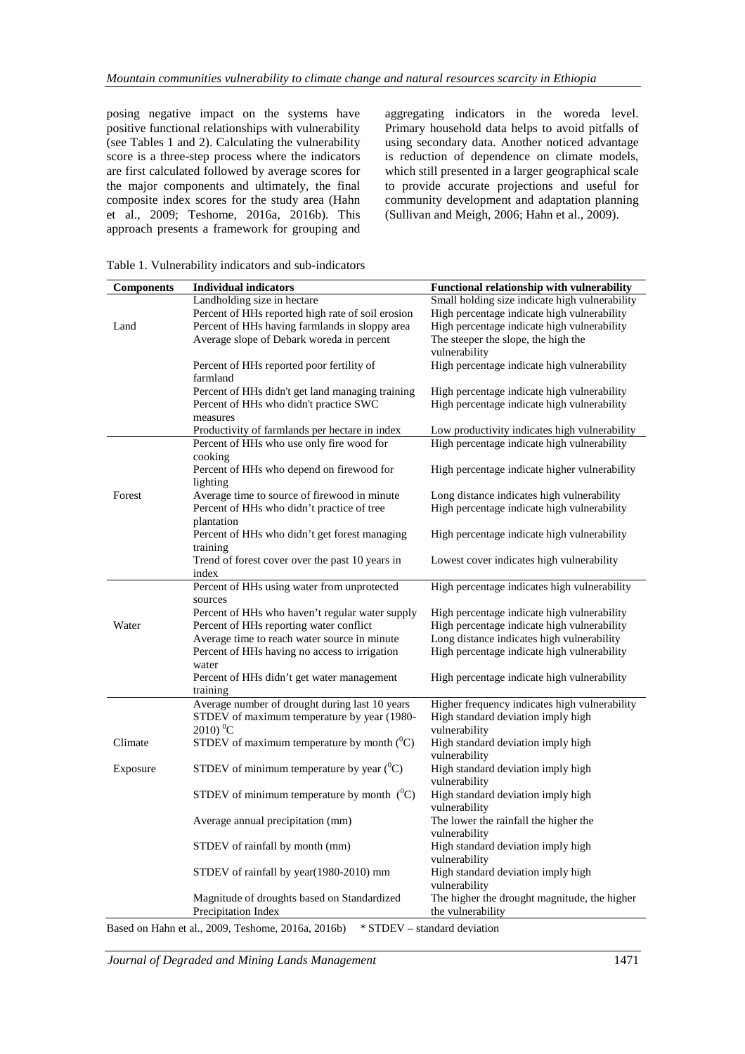posing negative impact on the systems have positive functional relationships with vulnerability (see Tables 1 and 2). Calculating the vulnerability score is a three-step process where the indicators are first calculated followed by average scores for the major components and ultimately, the final composite index scores for the study area (Hahn et al., 2009; Teshome, 2016a, 2016b). This approach presents a framework for grouping and aggregating indicators in the woreda level. Primary household data helps to avoid pitfalls of using secondary data. Another noticed advantage is reduction of dependence on climate models, which still presented in a larger geographical scale to provide accurate projections and useful for community development and adaptation planning (Sullivan and Meigh, 2006; Hahn et al., 2009).

| <b>Components</b> | <b>Individual indicators</b>                               | Functional relationship with vulnerability             |
|-------------------|------------------------------------------------------------|--------------------------------------------------------|
|                   | Landholding size in hectare                                | Small holding size indicate high vulnerability         |
|                   | Percent of HHs reported high rate of soil erosion          | High percentage indicate high vulnerability            |
| Land              | Percent of HHs having farmlands in sloppy area             | High percentage indicate high vulnerability            |
|                   | Average slope of Debark woreda in percent                  | The steeper the slope, the high the<br>vulnerability   |
|                   | Percent of HHs reported poor fertility of<br>farmland      | High percentage indicate high vulnerability            |
|                   | Percent of HHs didn't get land managing training           | High percentage indicate high vulnerability            |
|                   | Percent of HHs who didn't practice SWC                     | High percentage indicate high vulnerability            |
|                   | measures                                                   |                                                        |
|                   | Productivity of farmlands per hectare in index             | Low productivity indicates high vulnerability          |
|                   | Percent of HHs who use only fire wood for<br>cooking       | High percentage indicate high vulnerability            |
|                   | Percent of HHs who depend on firewood for<br>lighting      | High percentage indicate higher vulnerability          |
| Forest            | Average time to source of firewood in minute.              | Long distance indicates high vulnerability             |
|                   | Percent of HHs who didn't practice of tree                 | High percentage indicate high vulnerability            |
|                   | plantation                                                 |                                                        |
|                   | Percent of HHs who didn't get forest managing              | High percentage indicate high vulnerability            |
|                   | training                                                   |                                                        |
|                   | Trend of forest cover over the past 10 years in<br>index   | Lowest cover indicates high vulnerability              |
|                   | Percent of HHs using water from unprotected                | High percentage indicates high vulnerability           |
|                   | sources                                                    |                                                        |
|                   | Percent of HHs who haven't regular water supply            | High percentage indicate high vulnerability            |
| Water             | Percent of HHs reporting water conflict                    | High percentage indicate high vulnerability            |
|                   | Average time to reach water source in minute               | Long distance indicates high vulnerability             |
|                   | Percent of HHs having no access to irrigation              | High percentage indicate high vulnerability            |
|                   | water                                                      |                                                        |
|                   | Percent of HHs didn't get water management                 | High percentage indicate high vulnerability            |
|                   | training<br>Average number of drought during last 10 years | Higher frequency indicates high vulnerability          |
|                   | STDEV of maximum temperature by year (1980-                | High standard deviation imply high                     |
|                   | $2010$ <sup>0</sup> C                                      | vulnerability                                          |
| Climate           | STDEV of maximum temperature by month $(^0C)$              | High standard deviation imply high                     |
|                   |                                                            | vulnerability                                          |
| Exposure          | STDEV of minimum temperature by year $(^0C)$               | High standard deviation imply high<br>vulnerability    |
|                   | STDEV of minimum temperature by month $(^0C)$              | High standard deviation imply high<br>vulnerability    |
|                   | Average annual precipitation (mm)                          | The lower the rainfall the higher the<br>vulnerability |
|                   | STDEV of rainfall by month (mm)                            | High standard deviation imply high<br>vulnerability    |
|                   | STDEV of rainfall by year(1980-2010) mm                    | High standard deviation imply high                     |
|                   |                                                            | vulnerability                                          |
|                   | Magnitude of droughts based on Standardized                | The higher the drought magnitude, the higher           |
|                   | Precipitation Index                                        | the vulnerability                                      |

Table 1. Vulnerability indicators and sub-indicators

Based on Hahn et al., 2009, Teshome, 2016a, 2016b) \* STDEV – standard deviation

*Journal of Degraded and Mining Lands Management* 1471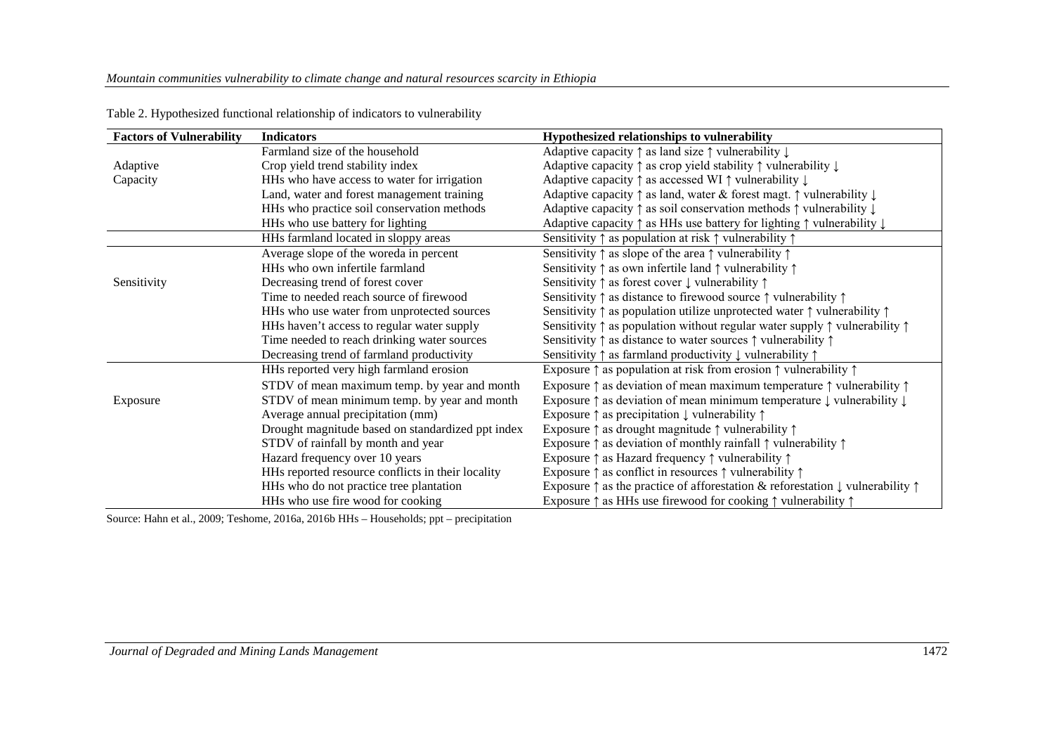| <b>Factors of Vulnerability</b> | <b>Indicators</b>                                 | Hypothesized relationships to vulnerability                                                                |
|---------------------------------|---------------------------------------------------|------------------------------------------------------------------------------------------------------------|
|                                 | Farmland size of the household                    | Adaptive capacity $\uparrow$ as land size $\uparrow$ vulnerability $\downarrow$                            |
| Adaptive                        | Crop yield trend stability index                  | Adaptive capacity ↑ as crop yield stability ↑ vulnerability ↓                                              |
| Capacity                        | HHs who have access to water for irrigation       | Adaptive capacity $\uparrow$ as accessed WI $\uparrow$ vulnerability $\downarrow$                          |
|                                 | Land, water and forest management training        | Adaptive capacity $\uparrow$ as land, water & forest magt. $\uparrow$ vulnerability $\downarrow$           |
|                                 | HHs who practice soil conservation methods        | Adaptive capacity $\uparrow$ as soil conservation methods $\uparrow$ vulnerability $\downarrow$            |
|                                 | HHs who use battery for lighting                  | Adaptive capacity ↑ as HHs use battery for lighting ↑ vulnerability ↓                                      |
|                                 | HHs farmland located in sloppy areas              | Sensitivity $\uparrow$ as population at risk $\uparrow$ vulnerability $\uparrow$                           |
|                                 | Average slope of the woreda in percent            | Sensitivity $\uparrow$ as slope of the area $\uparrow$ vulnerability $\uparrow$                            |
|                                 | HHs who own infertile farmland                    | Sensitivity $\uparrow$ as own infertile land $\uparrow$ vulnerability $\uparrow$                           |
| Sensitivity                     | Decreasing trend of forest cover                  | Sensitivity $\uparrow$ as forest cover $\downarrow$ vulnerability $\uparrow$                               |
|                                 | Time to needed reach source of firewood           | Sensitivity $\uparrow$ as distance to firewood source $\uparrow$ vulnerability $\uparrow$                  |
|                                 | HHs who use water from unprotected sources        | Sensitivity $\uparrow$ as population utilize unprotected water $\uparrow$ vulnerability $\uparrow$         |
|                                 | HHs haven't access to regular water supply        | Sensitivity $\uparrow$ as population without regular water supply $\uparrow$ vulnerability $\uparrow$      |
|                                 | Time needed to reach drinking water sources       | Sensitivity $\uparrow$ as distance to water sources $\uparrow$ vulnerability $\uparrow$                    |
|                                 | Decreasing trend of farmland productivity         | Sensitivity $\uparrow$ as farmland productivity $\downarrow$ vulnerability $\uparrow$                      |
|                                 | HHs reported very high farmland erosion           | Exposure $\uparrow$ as population at risk from erosion $\uparrow$ vulnerability $\uparrow$                 |
|                                 | STDV of mean maximum temp. by year and month      | Exposure $\uparrow$ as deviation of mean maximum temperature $\uparrow$ vulnerability $\uparrow$           |
| Exposure                        | STDV of mean minimum temp. by year and month      | Exposure $\uparrow$ as deviation of mean minimum temperature $\downarrow$ vulnerability $\downarrow$       |
|                                 | Average annual precipitation (mm)                 | Exposure $\uparrow$ as precipitation $\downarrow$ vulnerability $\uparrow$                                 |
|                                 | Drought magnitude based on standardized ppt index | Exposure $\uparrow$ as drought magnitude $\uparrow$ vulnerability $\uparrow$                               |
|                                 | STDV of rainfall by month and year                | Exposure $\uparrow$ as deviation of monthly rainfall $\uparrow$ vulnerability $\uparrow$                   |
|                                 | Hazard frequency over 10 years                    | Exposure $\uparrow$ as Hazard frequency $\uparrow$ vulnerability $\uparrow$                                |
|                                 | HHs reported resource conflicts in their locality | Exposure $\uparrow$ as conflict in resources $\uparrow$ vulnerability $\uparrow$                           |
|                                 | HHs who do not practice tree plantation           | Exposure $\uparrow$ as the practice of afforestation & reforestation $\downarrow$ vulnerability $\uparrow$ |
|                                 | HHs who use fire wood for cooking                 | Exposure $\uparrow$ as HHs use firewood for cooking $\uparrow$ vulnerability $\uparrow$                    |

Table 2. Hypothesized functional relationship of indicators to vulnerability

Source: Hahn et al., 2009; Teshome, 2016a, 2016b HHs – Households; ppt – precipitation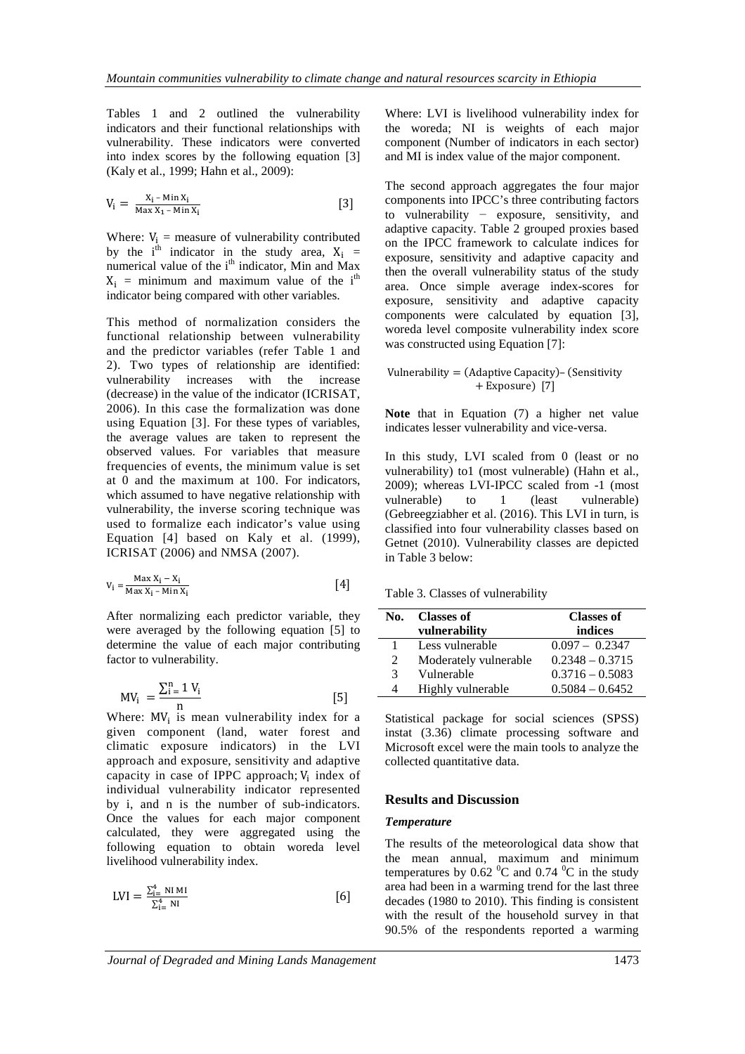Tables 1 and 2 outlined the vulnerability indicators and their functional relationships with vulnerability. These indicators were converted into index scores by the following equation [3] (Kaly et al., 1999; Hahn et al., 2009):

$$
V_i = \frac{X_i - \min X_i}{\max X_1 - \min X_i} \tag{3}
$$

Where:  $V_i$  = measure of vulnerability contributed by the i<sup>th</sup> indicator in the study area,  $X_i$  = numerical value of the i<sup>th</sup> indicator, Min and Max  $X_i$  = minimum and maximum value of the i<sup>th</sup> indicator being compared with other variables.

This method of normalization considers the functional relationship between vulnerability and the predictor variables (refer Table 1 and 2). Two types of relationship are identified: vulnerability increases with the increase (decrease) in the value of the indicator (ICRISAT, 2006). In this case the formalization was done using Equation [3]. For these types of variables, the average values are taken to represent the observed values. For variables that measure frequencies of events, the minimum value is set at 0 and the maximum at 100. For indicators, which assumed to have negative relationship with vulnerability, the inverse scoring technique was used to formalize each indicator's value using Equation [4] based on Kaly et al. (1999), ICRISAT (2006) and NMSA (2007).

$$
V_i = \frac{\text{Max } X_i - X_i}{\text{Max } X_i - \text{Min } X_i} \tag{4}
$$

After normalizing each predictor variable, they were averaged by the following equation [5] to determine the value of each major contributing factor to vulnerability.

$$
MV_i = \frac{\sum_{i=1}^{n} V_i}{n}
$$
 [5]

Where:  $MV_i$  is mean vulnerability index for a given component (land, water forest and climatic exposure indicators) in the LVI approach and exposure, sensitivity and adaptive capacity in case of IPPC approach;  $V_i$  index of individual vulnerability indicator represented by i, and n is the number of sub-indicators. Once the values for each major component calculated, they were aggregated using the following equation to obtain woreda level livelihood vulnerability index.

$$
LVI = \frac{\sum_{i=1}^{4} NI M I}{\sum_{i=1}^{4} NI}
$$
 [6]

Where: LVI is livelihood vulnerability index for the woreda; NI is weights of each major component (Number of indicators in each sector) and MI is index value of the major component.

The second approach aggregates the four major components into IPCC's three contributing factors to vulnerability − exposure, sensitivity, and adaptive capacity. Table 2 grouped proxies based on the IPCC framework to calculate indices for exposure, sensitivity and adaptive capacity and then the overall vulnerability status of the study area. Once simple average index-scores for exposure, sensitivity and adaptive capacity components were calculated by equation [3], woreda level composite vulnerability index score was constructed using Equation [7]:

#### Vulnerability  $=$  (Adaptive Capacity) – (Sensitivity + Exposure) [7]

**Note** that in Equation (7) a higher net value indicates lesser vulnerability and vice-versa.

In this study, LVI scaled from 0 (least or no vulnerability) to1 (most vulnerable) (Hahn et al., 2009); whereas LVI-IPCC scaled from -1 (most vulnerable) to 1 (least vulnerable) (Gebreegziabher et al. (2016). This LVI in turn, is classified into four vulnerability classes based on Getnet (2010). Vulnerability classes are depicted in Table 3 below:

Table 3. Classes of vulnerability

| No. | <b>Classes of</b>     | <b>Classes of</b> |  |  |  |
|-----|-----------------------|-------------------|--|--|--|
|     | vulnerability         | indices           |  |  |  |
|     | Less vulnerable       | $0.097 - 0.2347$  |  |  |  |
| 2   | Moderately vulnerable | $0.2348 - 0.3715$ |  |  |  |
| 3   | Vulnerable            | $0.3716 - 0.5083$ |  |  |  |
| 4   | Highly vulnerable     | $0.5084 - 0.6452$ |  |  |  |

Statistical package for social sciences (SPSS) instat (3.36) climate processing software and Microsoft excel were the main tools to analyze the collected quantitative data.

#### **Results and Discussion**

#### *Temperature*

The results of the meteorological data show that the mean annual, maximum and minimum temperatures by  $0.62 \,^0C$  and  $0.74 \,^0C$  in the study area had been in a warming trend for the last three decades (1980 to 2010). This finding is consistent with the result of the household survey in that 90.5% of the respondents reported a warming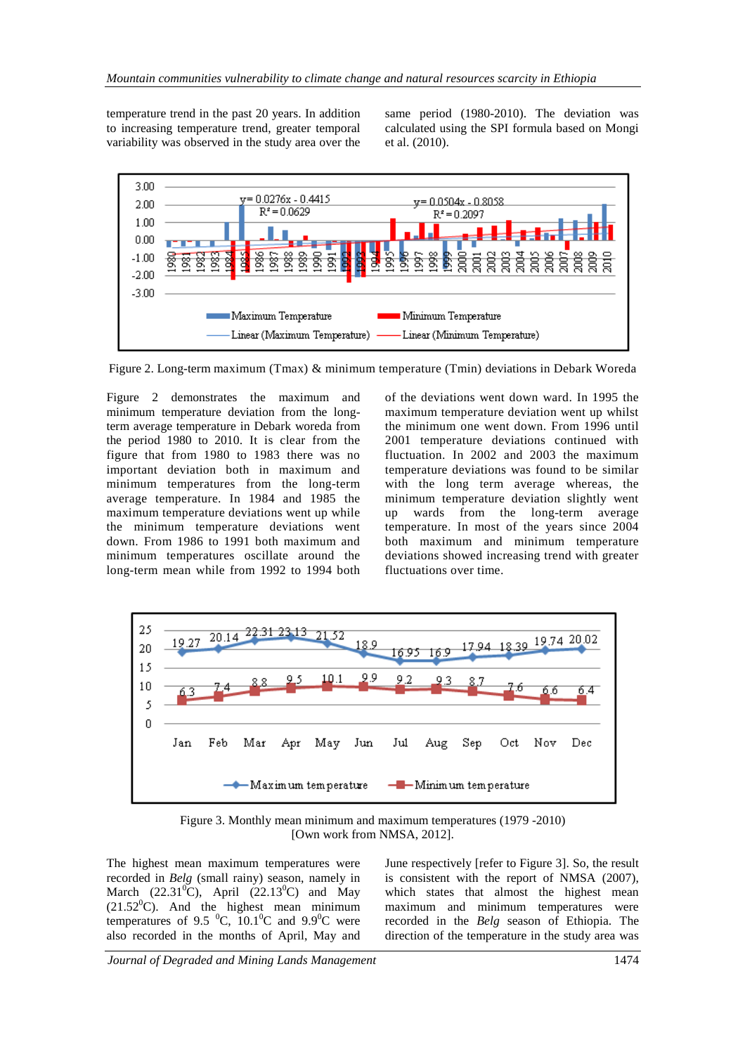temperature trend in the past 20 years. In addition to increasing temperature trend, greater temporal variability was observed in the study area over the same period (1980-2010). The deviation was calculated using the SPI formula based on Mongi et al. (2010).



Figure 2. Long-term maximum (Tmax) & minimum temperature (Tmin) deviations in Debark Woreda

Figure 2 demonstrates the maximum and minimum temperature deviation from the longterm average temperature in Debark woreda from the period 1980 to 2010. It is clear from the figure that from 1980 to 1983 there was no important deviation both in maximum and minimum temperatures from the long-term average temperature. In 1984 and 1985 the maximum temperature deviations went up while the minimum temperature deviations went down. From 1986 to 1991 both maximum and minimum temperatures oscillate around the long-term mean while from 1992 to 1994 both of the deviations went down ward. In 1995 the maximum temperature deviation went up whilst the minimum one went down. From 1996 until 2001 temperature deviations continued with fluctuation. In 2002 and 2003 the maximum temperature deviations was found to be similar with the long term average whereas, the minimum temperature deviation slightly went up wards from the long-term average temperature. In most of the years since 2004 both maximum and minimum temperature deviations showed increasing trend with greater fluctuations over time.



Figure 3. Monthly mean minimum and maximum temperatures (1979 -2010) [Own work from NMSA, 2012].

The highest mean maximum temperatures were recorded in *Belg* (small rainy) season, namely in March  $(22.31^{\circ}\text{C})$ , April  $(22.13^{\circ}\text{C})$  and May  $(21.52^{\circ}C)$ . And the highest mean minimum temperatures of 9.5  $^0C$ , 10.1 $^0C$  and 9.9 $^0C$  were also recorded in the months of April, May and

June respectively [refer to Figure 3]. So, the result is consistent with the report of NMSA (2007), which states that almost the highest mean maximum and minimum temperatures were recorded in the *Belg* season of Ethiopia. The direction of the temperature in the study area was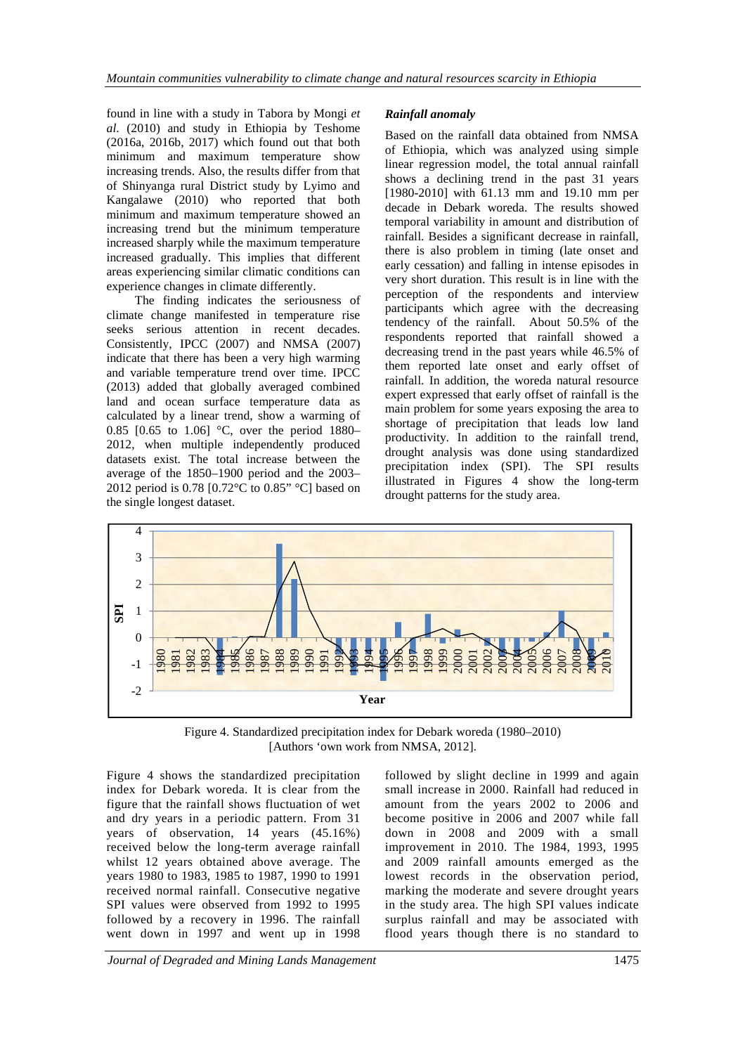found in line with a study in Tabora by Mongi *et al*. (2010) and study in Ethiopia by Teshome (2016a, 2016b, 2017) which found out that both minimum and maximum temperature show increasing trends. Also, the results differ from that of Shinyanga rural District study by Lyimo and Kangalawe (2010) who reported that both minimum and maximum temperature showed an increasing trend but the minimum temperature increased sharply while the maximum temperature increased gradually. This implies that different areas experiencing similar climatic conditions can experience changes in climate differently.

The finding indicates the seriousness of climate change manifested in temperature rise seeks serious attention in recent decades. Consistently, IPCC (2007) and NMSA (2007) indicate that there has been a very high warming and variable temperature trend over time. IPCC (2013) added that globally averaged combined land and ocean surface temperature data as calculated by a linear trend, show a warming of 0.85 [0.65 to 1.06] °C, over the period 1880– 2012, when multiple independently produced datasets exist. The total increase between the average of the 1850–1900 period and the 2003– 2012 period is 0.78 [0.72°C to 0.85" °C] based on the single longest dataset.

### *Rainfall anomaly*

Based on the rainfall data obtained from NMSA of Ethiopia, which was analyzed using simple linear regression model, the total annual rainfall shows a declining trend in the past 31 years [1980-2010] with 61.13 mm and 19.10 mm per decade in Debark woreda. The results showed temporal variability in amount and distribution of rainfall. Besides a significant decrease in rainfall, there is also problem in timing (late onset and early cessation) and falling in intense episodes in very short duration. This result is in line with the perception of the respondents and interview participants which agree with the decreasing tendency of the rainfall. About 50.5% of the respondents reported that rainfall showed a decreasing trend in the past years while 46.5% of them reported late onset and early offset of rainfall. In addition, the woreda natural resource expert expressed that early offset of rainfall is the main problem for some years exposing the area to shortage of precipitation that leads low land productivity. In addition to the rainfall trend, drought analysis was done using standardized precipitation index (SPI). The SPI results illustrated in Figures 4 show the long-term drought patterns for the study area.



Figure 4. Standardized precipitation index for Debark woreda (1980–2010) [Authors 'own work from NMSA, 2012].

Figure 4 shows the standardized precipitation index for Debark woreda. It is clear from the figure that the rainfall shows fluctuation of wet and dry years in a periodic pattern. From 31 years of observation, 14 years (45.16%) received below the long-term average rainfall whilst 12 years obtained above average. The years 1980 to 1983, 1985 to 1987, 1990 to 1991 received normal rainfall. Consecutive negative SPI values were observed from 1992 to 1995 followed by a recovery in 1996. The rainfall went down in 1997 and went up in 1998

followed by slight decline in 1999 and again small increase in 2000. Rainfall had reduced in amount from the years 2002 to 2006 and become positive in 2006 and 2007 while fall down in 2008 and 2009 with a small improvement in 2010. The 1984, 1993, 1995 and 2009 rainfall amounts emerged as the lowest records in the observation period, marking the moderate and severe drought years in the study area. The high SPI values indicate surplus rainfall and may be associated with flood years though there is no standard to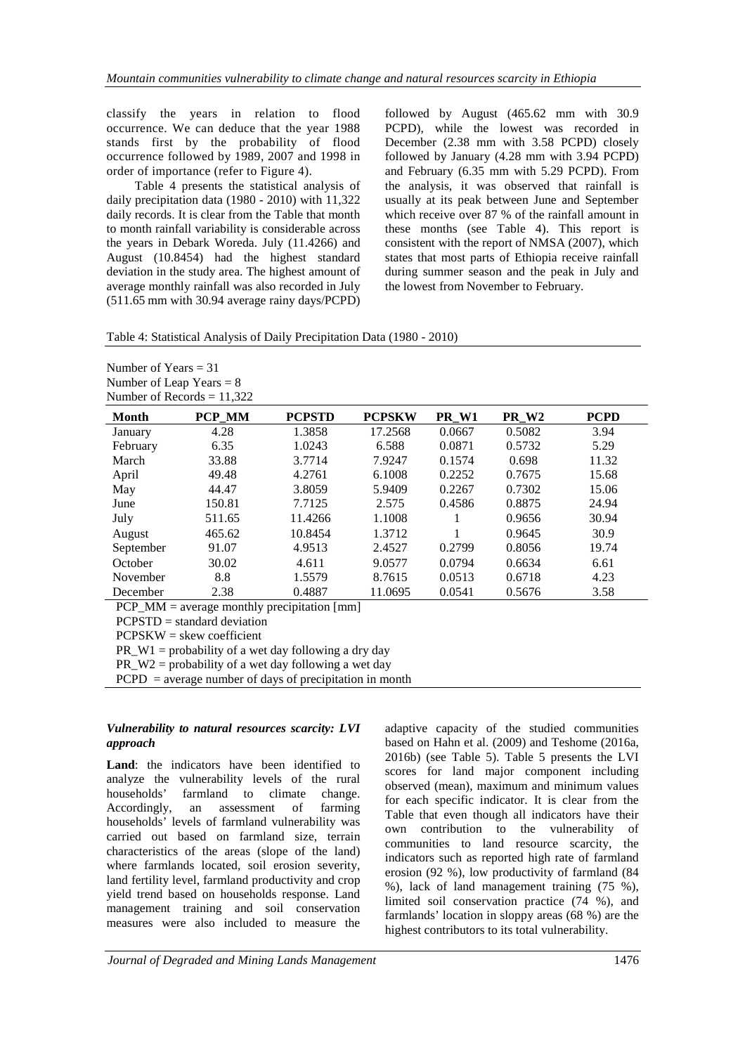classify the years in relation to flood occurrence. We can deduce that the year 1988 stands first by the probability of flood occurrence followed by 1989, 2007 and 1998 in order of importance (refer to Figure 4).

Table 4 presents the statistical analysis of daily precipitation data (1980 - 2010) with 11,322 daily records. It is clear from the Table that month to month rainfall variability is considerable across the years in Debark Woreda. July (11.4266) and August (10.8454) had the highest standard deviation in the study area. The highest amount of average monthly rainfall was also recorded in July (511.65 mm with 30.94 average rainy days/PCPD) followed by August (465.62 mm with 30.9 PCPD), while the lowest was recorded in December (2.38 mm with 3.58 PCPD) closely followed by January (4.28 mm with 3.94 PCPD) and February (6.35 mm with 5.29 PCPD). From the analysis, it was observed that rainfall is usually at its peak between June and September which receive over 87 % of the rainfall amount in these months (see Table 4). This report is consistent with the report of NMSA (2007), which states that most parts of Ethiopia receive rainfall during summer season and the peak in July and the lowest from November to February.

| Table 4: Statistical Analysis of Daily Precipitation Data (1980 - 2010) |  |
|-------------------------------------------------------------------------|--|
|-------------------------------------------------------------------------|--|

| Number of Years $=$ 31       |
|------------------------------|
| Number of Leap Years $= 8$   |
| Number of Records $= 11,322$ |

| <b>Month</b>                                  | PCP MM                        | <b>PCPSTD</b> | <b>PCPSKW</b> | PR W1  | PR W <sub>2</sub> | <b>PCPD</b> |
|-----------------------------------------------|-------------------------------|---------------|---------------|--------|-------------------|-------------|
| January                                       | 4.28                          | 1.3858        | 17.2568       | 0.0667 | 0.5082            | 3.94        |
| February                                      | 6.35                          | 1.0243        | 6.588         | 0.0871 | 0.5732            | 5.29        |
| March                                         | 33.88                         | 3.7714        | 7.9247        | 0.1574 | 0.698             | 11.32       |
| April                                         | 49.48                         | 4.2761        | 6.1008        | 0.2252 | 0.7675            | 15.68       |
| May                                           | 44.47                         | 3.8059        | 5.9409        | 0.2267 | 0.7302            | 15.06       |
| June                                          | 150.81                        | 7.7125        | 2.575         | 0.4586 | 0.8875            | 24.94       |
| July                                          | 511.65                        | 11.4266       | 1.1008        |        | 0.9656            | 30.94       |
| August                                        | 465.62                        | 10.8454       | 1.3712        |        | 0.9645            | 30.9        |
| September                                     | 91.07                         | 4.9513        | 2.4527        | 0.2799 | 0.8056            | 19.74       |
| October                                       | 30.02                         | 4.611         | 9.0577        | 0.0794 | 0.6634            | 6.61        |
| November                                      | 8.8                           | 1.5579        | 8.7615        | 0.0513 | 0.6718            | 4.23        |
| December                                      | 2.38                          | 0.4887        | 11.0695       | 0.0541 | 0.5676            | 3.58        |
| $PCP_MM = average monthly precipitation [mm]$ |                               |               |               |        |                   |             |
|                                               | $PCPSTD = standard deviation$ |               |               |        |                   |             |

 $PCPSKW =$ skew coefficient

PR  $W1$  = probability of a wet day following a dry day

PR\_W2 = probability of a wet day following a wet day

 $PCPD$  = average number of days of precipitation in month

#### *Vulnerability to natural resources scarcity: LVI approach*

**Land**: the indicators have been identified to analyze the vulnerability levels of the rural households' farmland to climate change. Accordingly, an assessment of farming households' levels of farmland vulnerability was carried out based on farmland size, terrain characteristics of the areas (slope of the land) where farmlands located, soil erosion severity, land fertility level, farmland productivity and crop yield trend based on households response. Land management training and soil conservation measures were also included to measure the

adaptive capacity of the studied communities based on Hahn et al. (2009) and Teshome (2016a, 2016b) (see Table 5). Table 5 presents the LVI scores for land major component including observed (mean), maximum and minimum values for each specific indicator. It is clear from the Table that even though all indicators have their own contribution to the vulnerability of communities to land resource scarcity, the indicators such as reported high rate of farmland erosion (92 %), low productivity of farmland (84 %), lack of land management training (75 %), limited soil conservation practice (74 %), and farmlands' location in sloppy areas (68 %) are the highest contributors to its total vulnerability.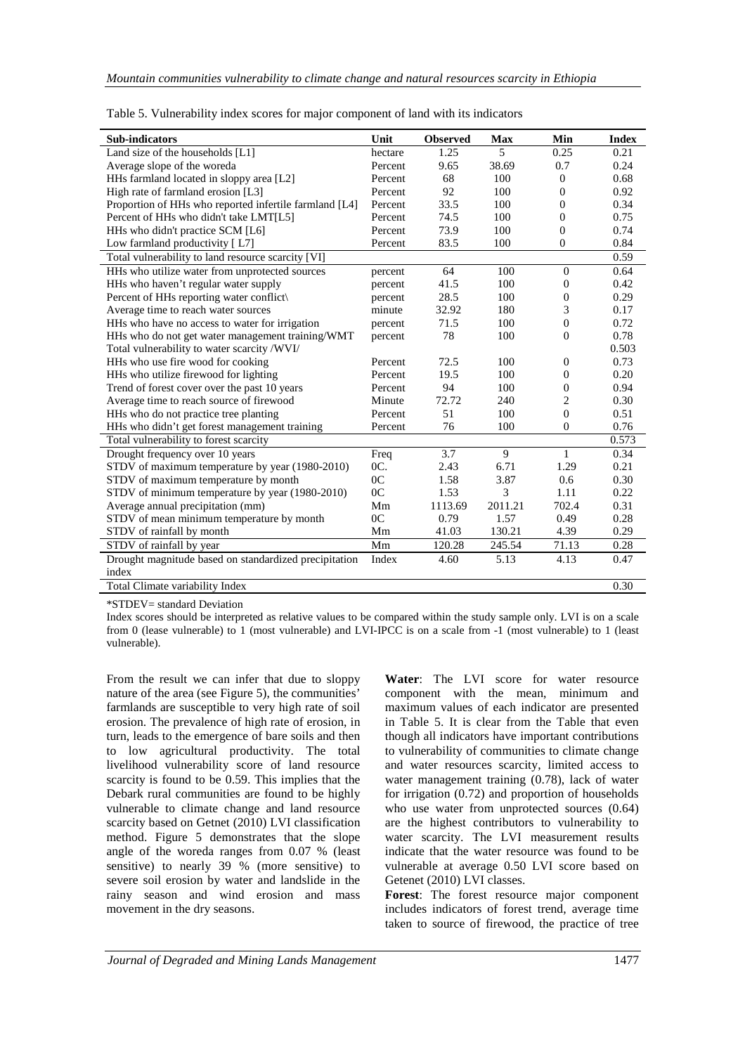| Sub-indicators                                         | Unit           | <b>Observed</b> | <b>Max</b>  | Min              | <b>Index</b> |
|--------------------------------------------------------|----------------|-----------------|-------------|------------------|--------------|
| Land size of the households [L1]                       | hectare        | 1.25            | 5           | 0.25             | 0.21         |
| Average slope of the woreda                            | Percent        | 9.65            | 38.69       | 0.7              | 0.24         |
| HHs farmland located in sloppy area [L2]               | Percent        | 68              | 100         | $\theta$         | 0.68         |
| High rate of farmland erosion [L3]                     | Percent        | 92              | 100         | $\theta$         | 0.92         |
| Proportion of HHs who reported infertile farmland [L4] | Percent        | 33.5            | 100         | $\theta$         | 0.34         |
| Percent of HHs who didn't take LMT[L5]                 | Percent        | 74.5            | 100         | $\theta$         | 0.75         |
| HHs who didn't practice SCM [L6]                       | Percent        | 73.9            | 100         | $\Omega$         | 0.74         |
| Low farmland productivity [L7]                         | Percent        | 83.5            | 100         | $\theta$         | 0.84         |
| Total vulnerability to land resource scarcity [VI]     |                |                 |             |                  | 0.59         |
| HHs who utilize water from unprotected sources         | percent        | 64              | 100         | $\mathbf{0}$     | 0.64         |
| HHs who haven't regular water supply                   | percent        | 41.5            | 100         | $\overline{0}$   | 0.42         |
| Percent of HHs reporting water conflict                | percent        | 28.5            | 100         | $\mathbf{0}$     | 0.29         |
| Average time to reach water sources                    | minute         | 32.92           | 180         | 3                | 0.17         |
| HHs who have no access to water for irrigation         | percent        | 71.5            | 100         | $\mathbf{0}$     | 0.72         |
| HHs who do not get water management training/WMT       | percent        | 78              | 100         | $\overline{0}$   | 0.78         |
| Total vulnerability to water scarcity /WVI/            |                |                 |             |                  | 0.503        |
| HHs who use fire wood for cooking                      | Percent        | 72.5            | 100         | $\boldsymbol{0}$ | 0.73         |
| HHs who utilize firewood for lighting                  | Percent        | 19.5            | 100         | $\boldsymbol{0}$ | 0.20         |
| Trend of forest cover over the past 10 years           | Percent        | 94              | 100         | $\boldsymbol{0}$ | 0.94         |
| Average time to reach source of firewood               | Minute         | 72.72           | 240         | $\overline{2}$   | 0.30         |
| HHs who do not practice tree planting                  | Percent        | 51              | 100         | $\theta$         | 0.51         |
| HHs who didn't get forest management training          | Percent        | 76              | 100         | $\theta$         | 0.76         |
| Total vulnerability to forest scarcity                 |                |                 |             |                  | 0.573        |
| Drought frequency over 10 years                        | Freq           | 3.7             | $\mathbf Q$ | 1                | 0.34         |
| STDV of maximum temperature by year (1980-2010)        | OC.            | 2.43            | 6.71        | 1.29             | 0.21         |
| STDV of maximum temperature by month                   | 0 <sup>C</sup> | 1.58            | 3.87        | 0.6              | 0.30         |
| STDV of minimum temperature by year (1980-2010)        | 0 <sub>C</sub> | 1.53            | 3           | 1.11             | 0.22         |
| Average annual precipitation (mm)                      | Mm             | 1113.69         | 2011.21     | 702.4            | 0.31         |
| STDV of mean minimum temperature by month              | 0 <sup>C</sup> | 0.79            | 1.57        | 0.49             | 0.28         |
| STDV of rainfall by month                              | Mm             | 41.03           | 130.21      | 4.39             | 0.29         |
| STDV of rainfall by year                               | Mm             | 120.28          | 245.54      | 71.13            | 0.28         |
| Drought magnitude based on standardized precipitation  | Index          | 4.60            | 5.13        | 4.13             | 0.47         |
| index                                                  |                |                 |             |                  |              |
| <b>Total Climate variability Index</b>                 |                |                 |             |                  | 0.30         |

|  |  | Table 5. Vulnerability index scores for major component of land with its indicators |
|--|--|-------------------------------------------------------------------------------------|
|  |  |                                                                                     |

\*STDEV= standard Deviation

Index scores should be interpreted as relative values to be compared within the study sample only. LVI is on a scale from 0 (lease vulnerable) to 1 (most vulnerable) and LVI-IPCC is on a scale from -1 (most vulnerable) to 1 (least vulnerable).

From the result we can infer that due to sloppy nature of the area (see Figure 5), the communities' farmlands are susceptible to very high rate of soil erosion. The prevalence of high rate of erosion, in turn, leads to the emergence of bare soils and then to low agricultural productivity. The total livelihood vulnerability score of land resource scarcity is found to be 0.59. This implies that the Debark rural communities are found to be highly vulnerable to climate change and land resource scarcity based on Getnet (2010) LVI classification method. Figure 5 demonstrates that the slope angle of the woreda ranges from 0.07 % (least sensitive) to nearly 39 % (more sensitive) to severe soil erosion by water and landslide in the rainy season and wind erosion and mass movement in the dry seasons.

**Water**: The LVI score for water resource component with the mean, minimum and maximum values of each indicator are presented in Table 5. It is clear from the Table that even though all indicators have important contributions to vulnerability of communities to climate change and water resources scarcity, limited access to water management training (0.78), lack of water for irrigation (0.72) and proportion of households who use water from unprotected sources (0.64) are the highest contributors to vulnerability to water scarcity. The LVI measurement results indicate that the water resource was found to be vulnerable at average 0.50 LVI score based on Getenet (2010) LVI classes.

**Forest**: The forest resource major component includes indicators of forest trend, average time taken to source of firewood, the practice of tree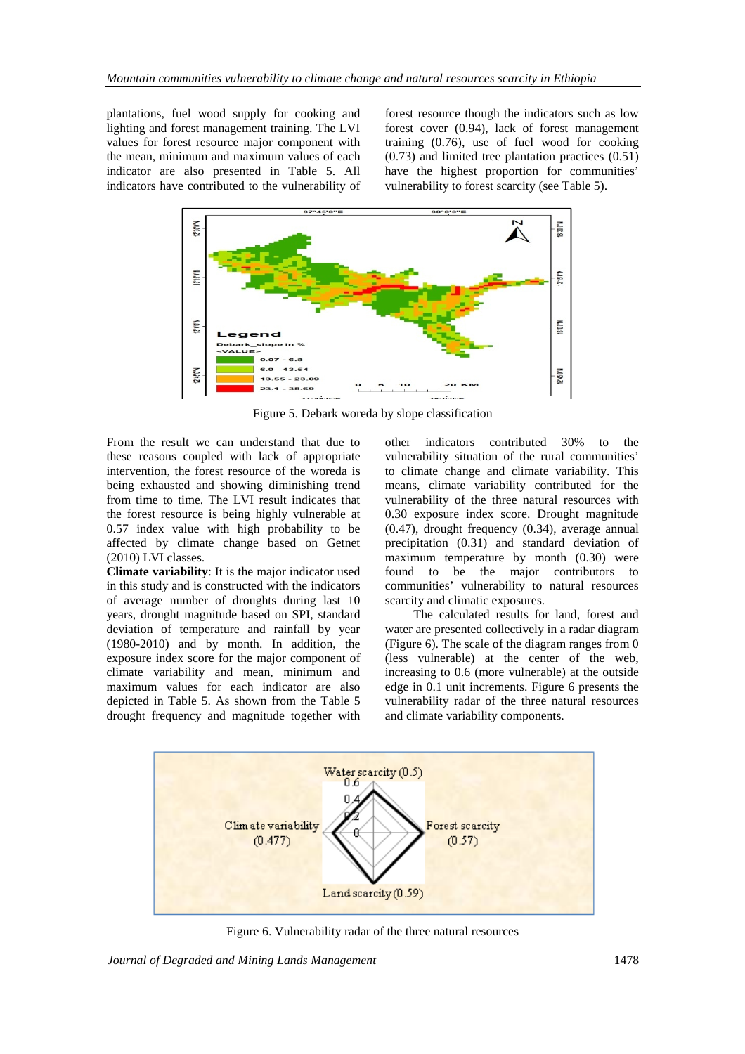plantations, fuel wood supply for cooking and lighting and forest management training. The LVI values for forest resource major component with the mean, minimum and maximum values of each indicator are also presented in Table 5. All indicators have contributed to the vulnerability of

forest resource though the indicators such as low forest cover (0.94), lack of forest management training (0.76), use of fuel wood for cooking (0.73) and limited tree plantation practices (0.51) have the highest proportion for communities' vulnerability to forest scarcity (see Table 5).



Figure 5. Debark woreda by slope classification

From the result we can understand that due to these reasons coupled with lack of appropriate intervention, the forest resource of the woreda is being exhausted and showing diminishing trend from time to time. The LVI result indicates that the forest resource is being highly vulnerable at 0.57 index value with high probability to be affected by climate change based on Getnet (2010) LVI classes.

**Climate variability**: It is the major indicator used in this study and is constructed with the indicators of average number of droughts during last 10 years, drought magnitude based on SPI, standard deviation of temperature and rainfall by year (1980-2010) and by month. In addition, the exposure index score for the major component of climate variability and mean, minimum and maximum values for each indicator are also depicted in Table 5. As shown from the Table 5 drought frequency and magnitude together with

other indicators contributed 30% to the vulnerability situation of the rural communities' to climate change and climate variability. This means, climate variability contributed for the vulnerability of the three natural resources with 0.30 exposure index score. Drought magnitude (0.47), drought frequency (0.34), average annual precipitation (0.31) and standard deviation of maximum temperature by month (0.30) were found to be the major contributors to communities' vulnerability to natural resources scarcity and climatic exposures.

The calculated results for land, forest and water are presented collectively in a radar diagram (Figure 6). The scale of the diagram ranges from 0 (less vulnerable) at the center of the web, increasing to 0.6 (more vulnerable) at the outside edge in 0.1 unit increments. Figure 6 presents the vulnerability radar of the three natural resources and climate variability components.



Figure 6. Vulnerability radar of the three natural resources

*Journal of Degraded and Mining Lands Management* 1478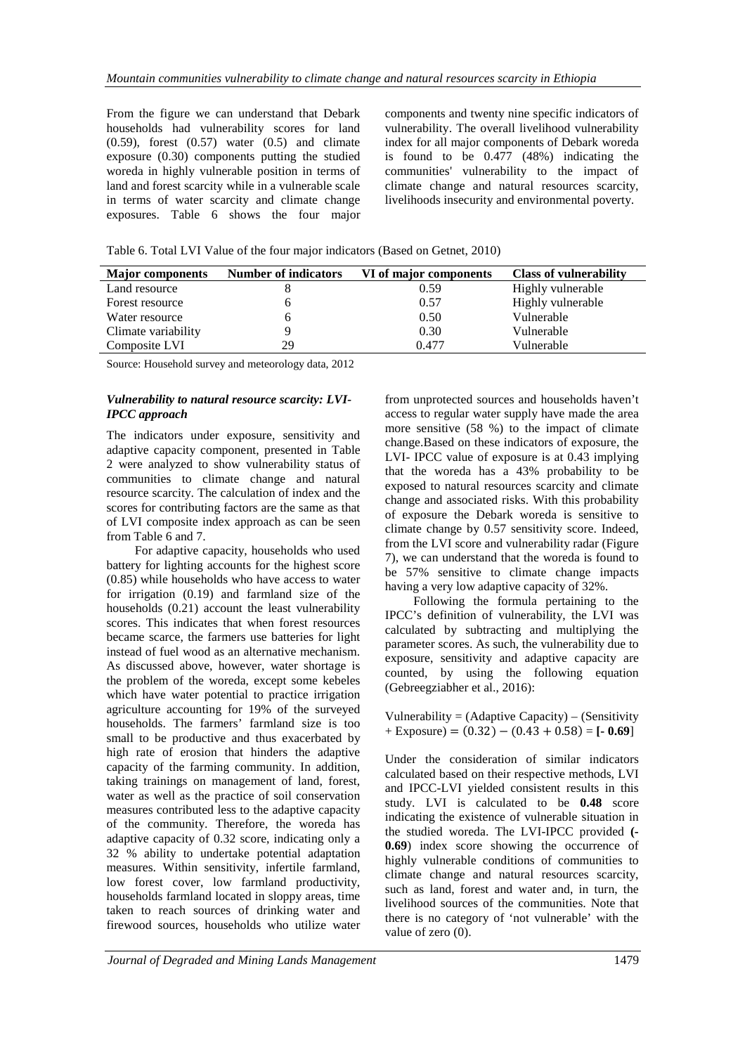From the figure we can understand that Debark households had vulnerability scores for land  $(0.59)$ , forest  $(0.57)$  water  $(0.5)$  and climate exposure (0.30) components putting the studied woreda in highly vulnerable position in terms of land and forest scarcity while in a vulnerable scale in terms of water scarcity and climate change exposures. Table 6 shows the four major components and twenty nine specific indicators of vulnerability. The overall livelihood vulnerability index for all major components of Debark woreda is found to be 0.477 (48%) indicating the communities' vulnerability to the impact of climate change and natural resources scarcity, livelihoods insecurity and environmental poverty.

Table 6. Total LVI Value of the four major indicators (Based on Getnet, 2010)

| <b>Major</b> components | <b>Number of indicators</b> | VI of major components | <b>Class of vulnerability</b> |  |  |
|-------------------------|-----------------------------|------------------------|-------------------------------|--|--|
| Land resource           |                             | 0.59                   | Highly vulnerable             |  |  |
| Forest resource         |                             | 0.57                   | Highly vulnerable             |  |  |
| Water resource          |                             | 0.50                   | Vulnerable                    |  |  |
| Climate variability     |                             | 0.30                   | Vulnerable                    |  |  |
| Composite LVI           | 29                          | 0.477                  | Vulnerable                    |  |  |

Source: Household survey and meteorology data, 2012

### *Vulnerability to natural resource scarcity: LVI-IPCC approach*

The indicators under exposure, sensitivity and adaptive capacity component, presented in Table 2 were analyzed to show vulnerability status of communities to climate change and natural resource scarcity. The calculation of index and the scores for contributing factors are the same as that of LVI composite index approach as can be seen from Table 6 and 7.

For adaptive capacity, households who used battery for lighting accounts for the highest score (0.85) while households who have access to water for irrigation (0.19) and farmland size of the households (0.21) account the least vulnerability scores. This indicates that when forest resources became scarce, the farmers use batteries for light instead of fuel wood as an alternative mechanism. As discussed above, however, water shortage is the problem of the woreda, except some kebeles which have water potential to practice irrigation agriculture accounting for 19% of the surveyed households. The farmers' farmland size is too small to be productive and thus exacerbated by high rate of erosion that hinders the adaptive capacity of the farming community. In addition, taking trainings on management of land, forest, water as well as the practice of soil conservation measures contributed less to the adaptive capacity of the community. Therefore, the woreda has adaptive capacity of 0.32 score, indicating only a 32 % ability to undertake potential adaptation measures. Within sensitivity, infertile farmland, low forest cover, low farmland productivity, households farmland located in sloppy areas, time taken to reach sources of drinking water and firewood sources, households who utilize water

from unprotected sources and households haven't access to regular water supply have made the area more sensitive (58 %) to the impact of climate change.Based on these indicators of exposure, the LVI- IPCC value of exposure is at 0.43 implying that the woreda has a 43% probability to be exposed to natural resources scarcity and climate change and associated risks. With this probability of exposure the Debark woreda is sensitive to climate change by 0.57 sensitivity score. Indeed, from the LVI score and vulnerability radar (Figure 7), we can understand that the woreda is found to be 57% sensitive to climate change impacts having a very low adaptive capacity of 32%.

Following the formula pertaining to the IPCC's definition of vulnerability, the LVI was calculated by subtracting and multiplying the parameter scores. As such, the vulnerability due to exposure, sensitivity and adaptive capacity are counted, by using the following equation (Gebreegziabher et al., 2016):

Vulnerability =  $(Ad$ aptive Capacity) –  $(S$ ensitivity + Exposure) = (0.32)− (0.43 + 0.58) = **[- 0.69**]

Under the consideration of similar indicators calculated based on their respective methods, LVI and IPCC-LVI yielded consistent results in this study. LVI is calculated to be **0.48** score indicating the existence of vulnerable situation in the studied woreda. The LVI-IPCC provided **(- 0.69**) index score showing the occurrence of highly vulnerable conditions of communities to climate change and natural resources scarcity, such as land, forest and water and, in turn, the livelihood sources of the communities. Note that there is no category of 'not vulnerable' with the value of zero (0).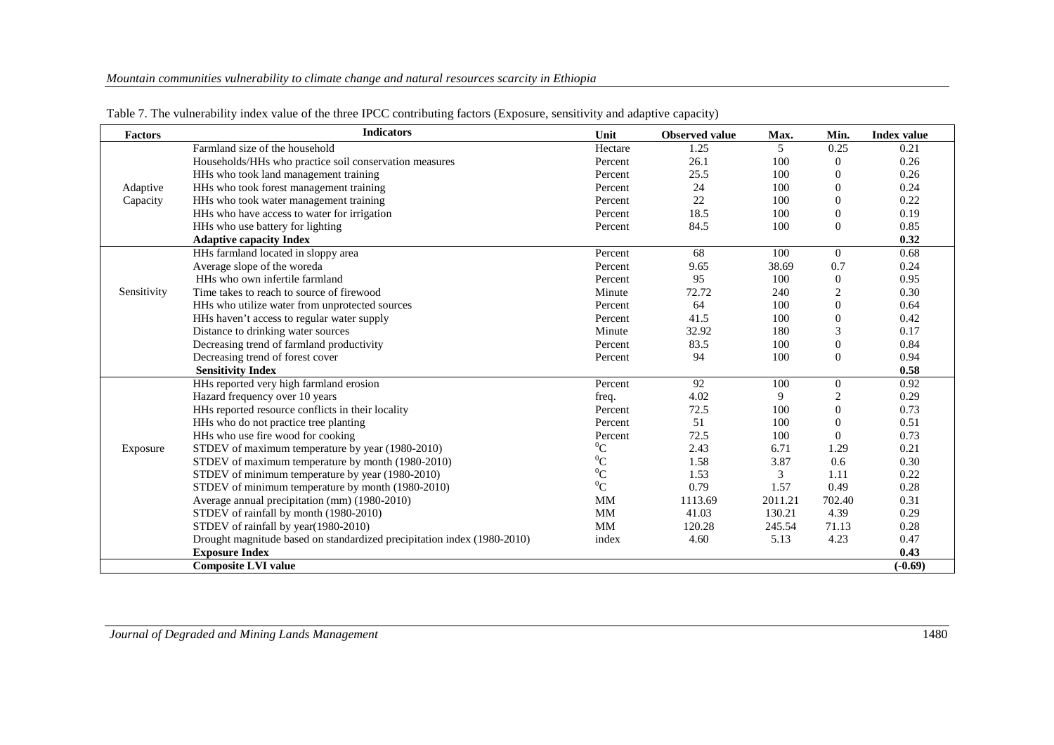| <b>Factors</b> | <b>Indicators</b>                                                       | Unit      | <b>Observed value</b> | Max.    | Min.             | <b>Index value</b> |
|----------------|-------------------------------------------------------------------------|-----------|-----------------------|---------|------------------|--------------------|
|                | Farmland size of the household                                          | Hectare   | 1.25                  | 5       | 0.25             | 0.21               |
|                | Households/HHs who practice soil conservation measures                  | Percent   | 26.1                  | 100     | $\mathbf{0}$     | 0.26               |
|                | HHs who took land management training                                   | Percent   | 25.5                  | 100     | $\overline{0}$   | 0.26               |
| Adaptive       | HHs who took forest management training                                 | Percent   | 24                    | 100     | $\mathbf{0}$     | 0.24               |
| Capacity       | HHs who took water management training                                  | Percent   | 22                    | 100     | $\mathbf{0}$     | 0.22               |
|                | HHs who have access to water for irrigation                             | Percent   | 18.5                  | 100     | $\mathbf{0}$     | 0.19               |
|                | HHs who use battery for lighting                                        | Percent   | 84.5                  | 100     | $\mathbf{0}$     | 0.85               |
|                | <b>Adaptive capacity Index</b>                                          |           |                       |         |                  | 0.32               |
|                | HHs farmland located in sloppy area                                     | Percent   | 68                    | 100     | $\theta$         | 0.68               |
|                | Average slope of the woreda                                             | Percent   | 9.65                  | 38.69   | 0.7              | 0.24               |
|                | HHs who own infertile farmland                                          | Percent   | 95                    | 100     | $\boldsymbol{0}$ | 0.95               |
| Sensitivity    | Time takes to reach to source of firewood                               | Minute    | 72.72                 | 240     | 2                | 0.30               |
|                | HHs who utilize water from unprotected sources                          | Percent   | 64                    | 100     | $\mathbf{0}$     | 0.64               |
|                | HHs haven't access to regular water supply                              | Percent   | 41.5                  | 100     | $\mathbf{0}$     | 0.42               |
|                | Distance to drinking water sources                                      | Minute    | 32.92                 | 180     | 3                | 0.17               |
|                | Decreasing trend of farmland productivity                               | Percent   | 83.5                  | 100     | $\mathbf{0}$     | 0.84               |
|                | Decreasing trend of forest cover                                        | Percent   | 94                    | 100     | $\theta$         | 0.94               |
|                | <b>Sensitivity Index</b>                                                |           |                       |         |                  | 0.58               |
|                | HHs reported very high farmland erosion                                 | Percent   | 92                    | 100     | $\boldsymbol{0}$ | 0.92               |
|                | Hazard frequency over 10 years                                          | freq.     | 4.02                  | 9       | 2                | 0.29               |
|                | HHs reported resource conflicts in their locality                       | Percent   | 72.5                  | 100     | $\mathbf{0}$     | 0.73               |
|                | HHs who do not practice tree planting                                   | Percent   | 51                    | 100     | $\theta$         | 0.51               |
|                | HHs who use fire wood for cooking                                       | Percent   | 72.5                  | 100     | $\overline{0}$   | 0.73               |
| Exposure       | STDEV of maximum temperature by year (1980-2010)                        | ${}^{0}C$ | 2.43                  | 6.71    | 1.29             | 0.21               |
|                | STDEV of maximum temperature by month (1980-2010)                       | ${}^{0}C$ | 1.58                  | 3.87    | 0.6              | 0.30               |
|                | STDEV of minimum temperature by year (1980-2010)                        | ${}^{0}C$ | 1.53                  | 3       | 1.11             | 0.22               |
|                | STDEV of minimum temperature by month (1980-2010)                       | ${}^{0}C$ | 0.79                  | 1.57    | 0.49             | 0.28               |
|                | Average annual precipitation (mm) (1980-2010)                           | <b>MM</b> | 1113.69               | 2011.21 | 702.40           | 0.31               |
|                | STDEV of rainfall by month (1980-2010)                                  | MM        | 41.03                 | 130.21  | 4.39             | 0.29               |
|                | STDEV of rainfall by year(1980-2010)                                    | MM        | 120.28                | 245.54  | 71.13            | 0.28               |
|                | Drought magnitude based on standardized precipitation index (1980-2010) | index     | 4.60                  | 5.13    | 4.23             | 0.47               |
|                | <b>Exposure Index</b>                                                   |           |                       |         |                  | 0.43               |
|                | <b>Composite LVI value</b>                                              |           |                       |         |                  | $(-0.69)$          |

Table 7. The vulnerability index value of the three IPCC contributing factors (Exposure, sensitivity and adaptive capacity)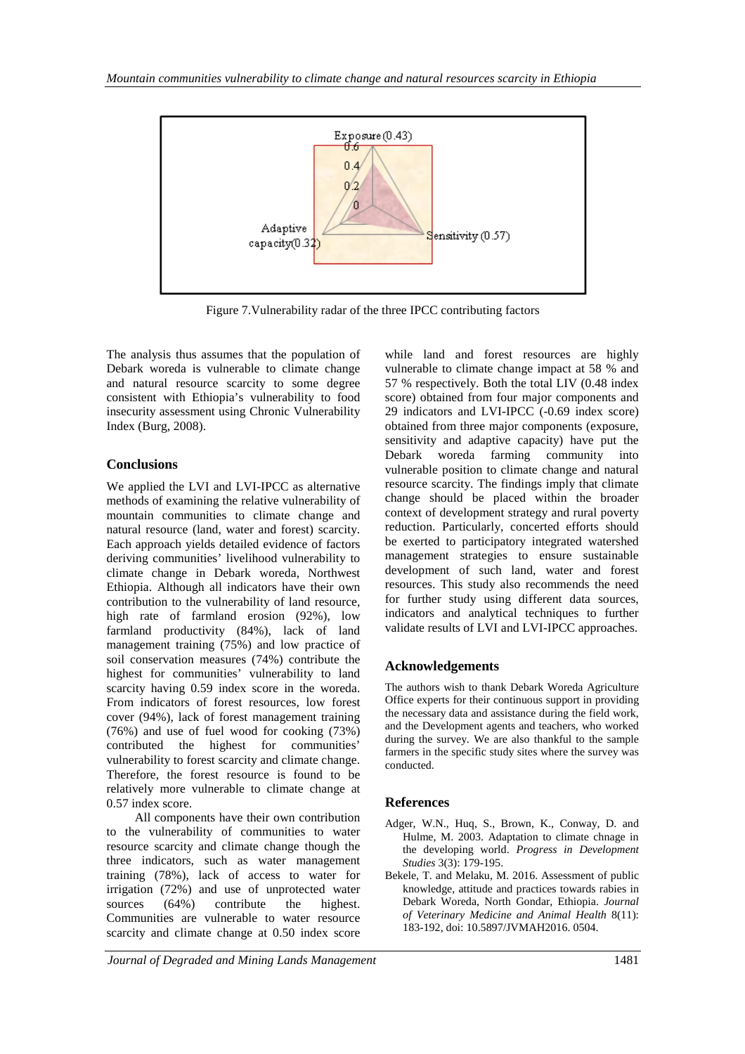

Figure 7.Vulnerability radar of the three IPCC contributing factors

The analysis thus assumes that the population of Debark woreda is vulnerable to climate change and natural resource scarcity to some degree consistent with Ethiopia's vulnerability to food insecurity assessment using Chronic Vulnerability Index (Burg, 2008).

# **Conclusions**

We applied the LVI and LVI-IPCC as alternative methods of examining the relative vulnerability of mountain communities to climate change and natural resource (land, water and forest) scarcity. Each approach yields detailed evidence of factors deriving communities' livelihood vulnerability to climate change in Debark woreda, Northwest Ethiopia. Although all indicators have their own contribution to the vulnerability of land resource, high rate of farmland erosion (92%), low farmland productivity (84%), lack of land management training (75%) and low practice of soil conservation measures (74%) contribute the highest for communities' vulnerability to land scarcity having 0.59 index score in the woreda. From indicators of forest resources, low forest cover (94%), lack of forest management training (76%) and use of fuel wood for cooking (73%) contributed the highest for communities' vulnerability to forest scarcity and climate change. Therefore, the forest resource is found to be relatively more vulnerable to climate change at 0.57 index score.

All components have their own contribution to the vulnerability of communities to water resource scarcity and climate change though the three indicators, such as water management training (78%), lack of access to water for irrigation (72%) and use of unprotected water sources (64%) contribute the highest. Communities are vulnerable to water resource scarcity and climate change at 0.50 index score

while land and forest resources are highly vulnerable to climate change impact at 58 % and 57 % respectively. Both the total LIV (0.48 index score) obtained from four major components and 29 indicators and LVI-IPCC (-0.69 index score) obtained from three major components (exposure, sensitivity and adaptive capacity) have put the Debark woreda farming community into vulnerable position to climate change and natural resource scarcity. The findings imply that climate change should be placed within the broader context of development strategy and rural poverty reduction. Particularly, concerted efforts should be exerted to participatory integrated watershed management strategies to ensure sustainable development of such land, water and forest resources. This study also recommends the need for further study using different data sources, indicators and analytical techniques to further validate results of LVI and LVI-IPCC approaches.

# **Acknowledgements**

The authors wish to thank Debark Woreda Agriculture Office experts for their continuous support in providing the necessary data and assistance during the field work, and the Development agents and teachers, who worked during the survey. We are also thankful to the sample farmers in the specific study sites where the survey was conducted.

# **References**

- Adger, W.N., Huq, S., Brown, K., Conway, D. and Hulme, M. 2003. Adaptation to climate chnage in the developing world. *Progress in Development Studies* 3(3): 179-195.
- Bekele, T. and Melaku, M. 2016. Assessment of public knowledge, attitude and practices towards rabies in Debark Woreda, North Gondar, Ethiopia. *Journal of Veterinary Medicine and Animal Health* 8(11): 183-192, doi: 10.5897/JVMAH2016. 0504.